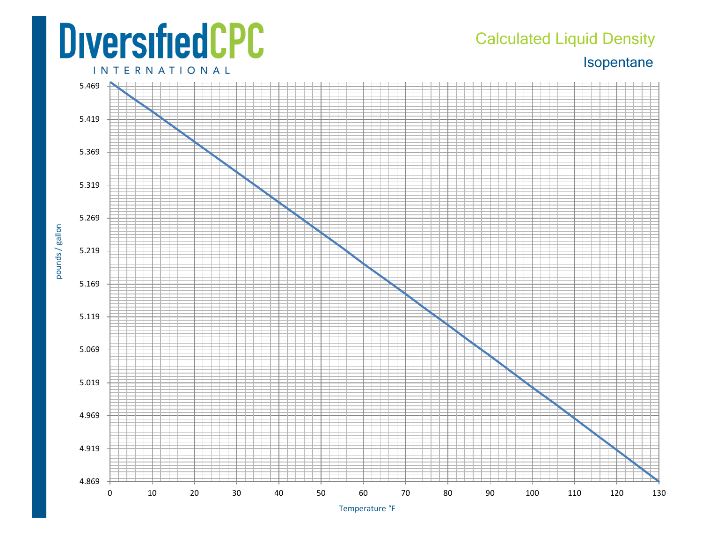## **DiversifiedCPC INTERNATIONAL**

## Calculated Liquid Density

Isopentane



Temperature °F